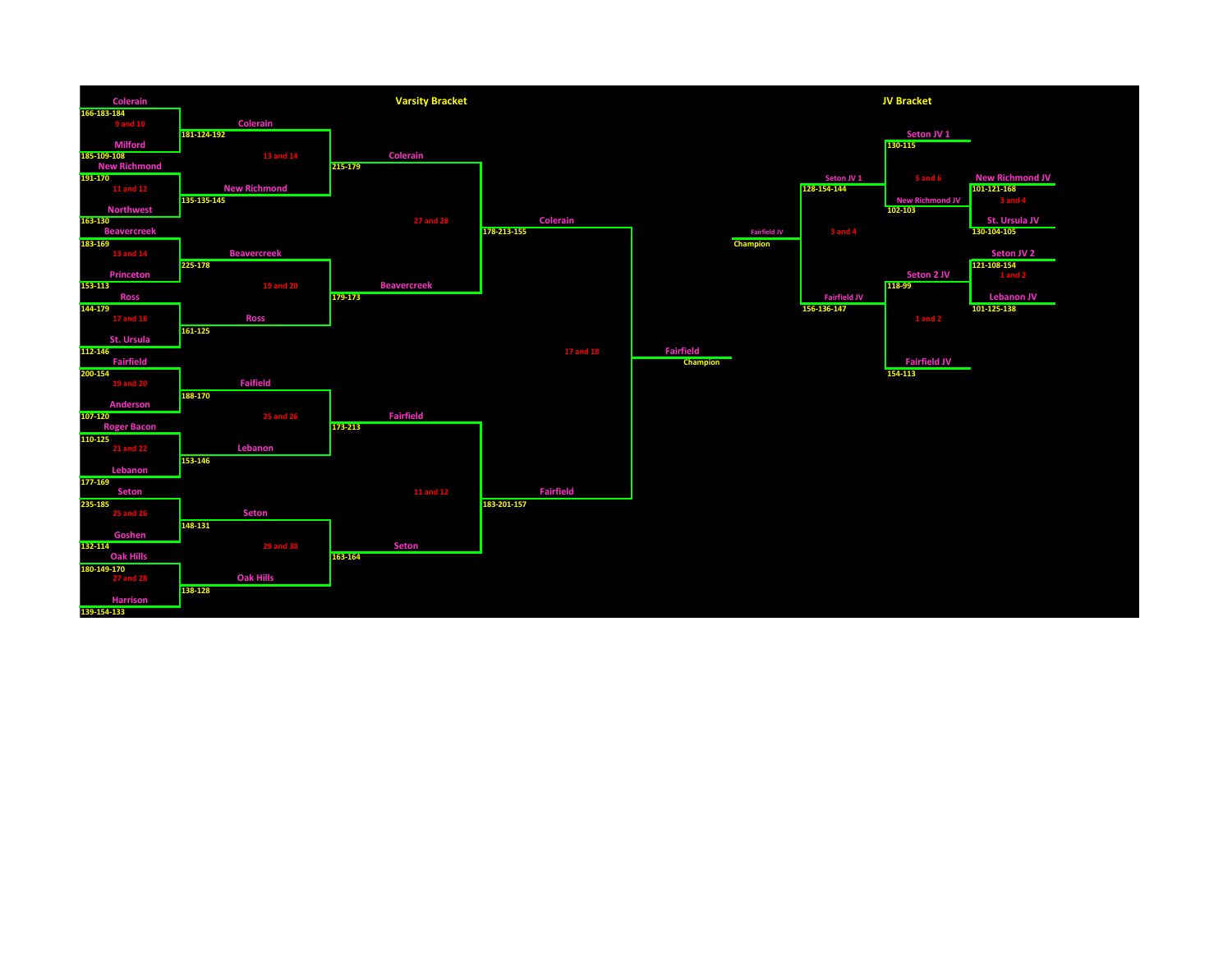